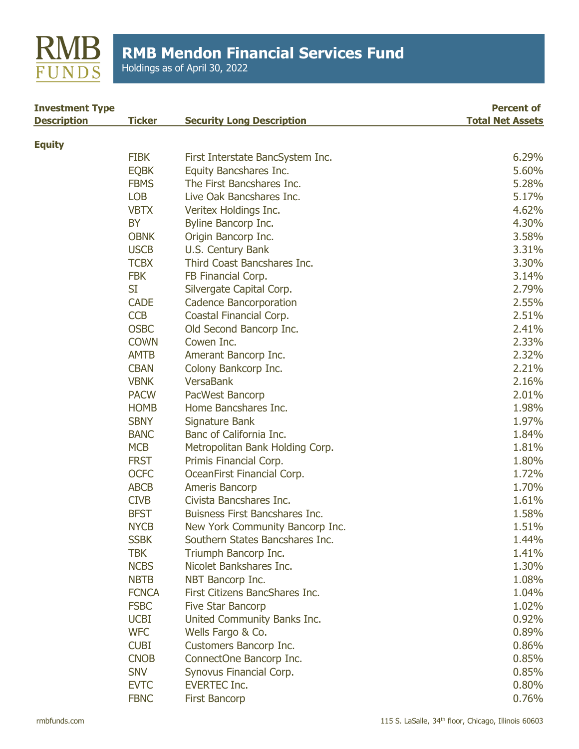

Holdings as of April 30, 2022

| <b>Investment Type</b> |               |                                  | <b>Percent of</b>       |
|------------------------|---------------|----------------------------------|-------------------------|
| <b>Description</b>     | <b>Ticker</b> | <b>Security Long Description</b> | <b>Total Net Assets</b> |
| <b>Equity</b>          |               |                                  |                         |
|                        | <b>FIBK</b>   | First Interstate BancSystem Inc. | 6.29%                   |
|                        | <b>EQBK</b>   | Equity Bancshares Inc.           | 5.60%                   |
|                        | <b>FBMS</b>   | The First Bancshares Inc.        | 5.28%                   |
|                        | <b>LOB</b>    | Live Oak Bancshares Inc.         | 5.17%                   |
|                        | <b>VBTX</b>   | Veritex Holdings Inc.            | 4.62%                   |
|                        | <b>BY</b>     | Byline Bancorp Inc.              | 4.30%                   |
|                        | <b>OBNK</b>   | Origin Bancorp Inc.              | 3.58%                   |
|                        | <b>USCB</b>   | U.S. Century Bank                | 3.31%                   |
|                        | <b>TCBX</b>   | Third Coast Bancshares Inc.      | 3.30%                   |
|                        | <b>FBK</b>    | FB Financial Corp.               | 3.14%                   |
|                        | SI            | Silvergate Capital Corp.         | 2.79%                   |
|                        | <b>CADE</b>   | <b>Cadence Bancorporation</b>    | 2.55%                   |
|                        | <b>CCB</b>    | Coastal Financial Corp.          | 2.51%                   |
|                        | <b>OSBC</b>   | Old Second Bancorp Inc.          | 2.41%                   |
|                        | <b>COWN</b>   | Cowen Inc.                       | 2.33%                   |
|                        | <b>AMTB</b>   | Amerant Bancorp Inc.             | 2.32%                   |
|                        | <b>CBAN</b>   | Colony Bankcorp Inc.             | 2.21%                   |
|                        | <b>VBNK</b>   | <b>VersaBank</b>                 | 2.16%                   |
|                        | <b>PACW</b>   | PacWest Bancorp                  | 2.01%                   |
|                        | <b>HOMB</b>   | Home Bancshares Inc.             | 1.98%                   |
|                        | <b>SBNY</b>   | Signature Bank                   | 1.97%                   |
|                        | <b>BANC</b>   | Banc of California Inc.          | 1.84%                   |
|                        | <b>MCB</b>    | Metropolitan Bank Holding Corp.  | 1.81%                   |
|                        | <b>FRST</b>   | Primis Financial Corp.           | 1.80%                   |
|                        | <b>OCFC</b>   | OceanFirst Financial Corp.       | 1.72%                   |
|                        | <b>ABCB</b>   | Ameris Bancorp                   | 1.70%                   |
|                        | <b>CIVB</b>   | Civista Bancshares Inc.          | 1.61%                   |
|                        | <b>BFST</b>   | Buisness First Bancshares Inc.   | 1.58%                   |
|                        | <b>NYCB</b>   | New York Community Bancorp Inc.  | 1.51%                   |
|                        | <b>SSBK</b>   | Southern States Bancshares Inc.  | 1.44%                   |
|                        | <b>TBK</b>    | Triumph Bancorp Inc.             | 1.41%                   |
|                        | <b>NCBS</b>   | Nicolet Bankshares Inc.          | 1.30%                   |
|                        | <b>NBTB</b>   | NBT Bancorp Inc.                 | 1.08%                   |
|                        | <b>FCNCA</b>  | First Citizens BancShares Inc.   | 1.04%                   |
|                        | <b>FSBC</b>   | <b>Five Star Bancorp</b>         | 1.02%                   |
|                        | <b>UCBI</b>   | United Community Banks Inc.      | 0.92%                   |
|                        | <b>WFC</b>    | Wells Fargo & Co.                | 0.89%                   |
|                        | <b>CUBI</b>   | Customers Bancorp Inc.           | 0.86%                   |
|                        | <b>CNOB</b>   | ConnectOne Bancorp Inc.          | 0.85%                   |
|                        | <b>SNV</b>    | Synovus Financial Corp.          | 0.85%                   |
|                        | <b>EVTC</b>   | <b>EVERTEC Inc.</b>              | 0.80%                   |
|                        | <b>FBNC</b>   | <b>First Bancorp</b>             | 0.76%                   |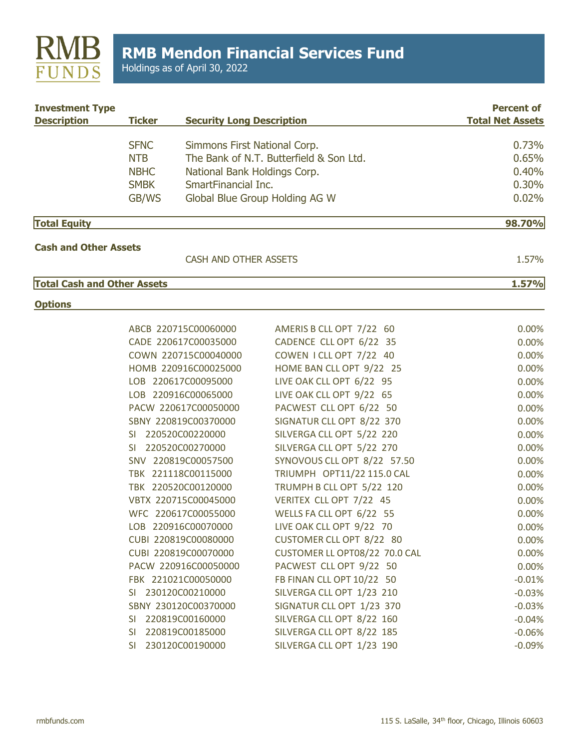

Holdings as of April 30, 2022

| <b>Investment Type</b><br><b>Description</b> | <b>Ticker</b> | <b>Security Long Description</b> |                                         | <b>Percent of</b><br><b>Total Net Assets</b> |
|----------------------------------------------|---------------|----------------------------------|-----------------------------------------|----------------------------------------------|
|                                              | <b>SFNC</b>   | Simmons First National Corp.     |                                         | 0.73%                                        |
|                                              | <b>NTB</b>    |                                  | The Bank of N.T. Butterfield & Son Ltd. | 0.65%                                        |
|                                              | <b>NBHC</b>   | National Bank Holdings Corp.     |                                         | 0.40%                                        |
|                                              | <b>SMBK</b>   | SmartFinancial Inc.              |                                         | 0.30%                                        |
|                                              | GB/WS         |                                  | Global Blue Group Holding AG W          | 0.02%                                        |
| <b>Total Equity</b>                          |               |                                  |                                         | 98.70%                                       |
| <b>Cash and Other Assets</b>                 |               |                                  |                                         |                                              |
|                                              |               | CASH AND OTHER ASSETS            |                                         | 1.57%                                        |
| <b>Total Cash and Other Assets</b>           |               |                                  |                                         | 1.57%                                        |
| <b>Options</b>                               |               |                                  |                                         |                                              |
|                                              |               | ABCB 220715C00060000             | AMERIS B CLL OPT 7/22 60                | 0.00%                                        |
|                                              |               | CADE 220617C00035000             | CADENCE CLL OPT 6/22 35                 | 0.00%                                        |
|                                              |               | COWN 220715C00040000             | COWEN I CLL OPT 7/22 40                 | 0.00%                                        |
|                                              |               | HOMB 220916C00025000             | HOME BAN CLL OPT 9/22 25                | 0.00%                                        |
|                                              |               | LOB 220617C00095000              | LIVE OAK CLL OPT 6/22 95                | 0.00%                                        |
|                                              |               | LOB 220916C00065000              | LIVE OAK CLL OPT 9/22 65                | 0.00%                                        |
|                                              |               | PACW 220617C00050000             | PACWEST CLL OPT 6/22 50                 | 0.00%                                        |
|                                              |               | SBNY 220819C00370000             | SIGNATUR CLL OPT 8/22 370               | 0.00%                                        |
|                                              |               | SI 220520C00220000               | SILVERGA CLL OPT 5/22 220               | 0.00%                                        |
|                                              |               | SI 220520C00270000               | SILVERGA CLL OPT 5/22 270               | 0.00%                                        |
|                                              |               | SNV 220819C00057500              | SYNOVOUS CLL OPT 8/22 57.50             | 0.00%                                        |
|                                              |               | TBK 221118C00115000              | TRIUMPH OPT11/22 115.0 CAL              | 0.00%                                        |
|                                              |               | TBK 220520C00120000              | TRUMPH B CLL OPT 5/22 120               | 0.00%                                        |
|                                              |               | VBTX 220715C00045000             | VERITEX CLL OPT 7/22 45                 | 0.00%                                        |
|                                              |               | WFC 220617C00055000              | WELLS FA CLL OPT 6/22 55                | 0.00%                                        |
|                                              |               | LOB 220916C00070000              | LIVE OAK CLL OPT 9/22 70                | 0.00%                                        |
|                                              |               | CUBI 220819C00080000             | CUSTOMER CLL OPT 8/22 80                | 0.00%                                        |
|                                              |               | CUBI 220819C00070000             | CUSTOMER LL OPT08/22 70.0 CAL           | 0.00%                                        |
|                                              |               | PACW 220916C00050000             | PACWEST CLL OPT 9/22 50                 | 0.00%                                        |
|                                              |               | FBK 221021C00050000              | FB FINAN CLL OPT 10/22 50               | $-0.01%$                                     |
|                                              |               | SI 230120C00210000               | SILVERGA CLL OPT 1/23 210               | $-0.03%$                                     |
|                                              |               | SBNY 230120C00370000             | SIGNATUR CLL OPT 1/23 370               | $-0.03%$                                     |
|                                              | <b>SI</b>     | 220819C00160000                  | SILVERGA CLL OPT 8/22 160               | $-0.04%$                                     |
|                                              | SI.           | 220819C00185000                  | SILVERGA CLL OPT 8/22 185               | $-0.06%$                                     |
|                                              |               | SI 230120C00190000               | SILVERGA CLL OPT 1/23 190               | $-0.09%$                                     |